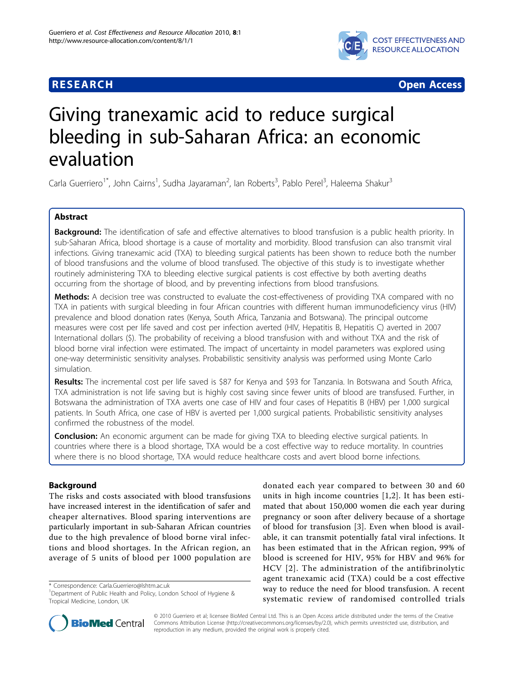# **RESEARCH CONSTRUCTION CONTROL**



# Giving tranexamic acid to reduce surgical bleeding in sub-Saharan Africa: an economic evaluation

Carla Guerriero<sup>1\*</sup>, John Cairns<sup>1</sup>, Sudha Jayaraman<sup>2</sup>, lan Roberts<sup>3</sup>, Pablo Perel<sup>3</sup>, Haleema Shakur<sup>3</sup>

# Abstract

Background: The identification of safe and effective alternatives to blood transfusion is a public health priority. In sub-Saharan Africa, blood shortage is a cause of mortality and morbidity. Blood transfusion can also transmit viral infections. Giving tranexamic acid (TXA) to bleeding surgical patients has been shown to reduce both the number of blood transfusions and the volume of blood transfused. The objective of this study is to investigate whether routinely administering TXA to bleeding elective surgical patients is cost effective by both averting deaths occurring from the shortage of blood, and by preventing infections from blood transfusions.

Methods: A decision tree was constructed to evaluate the cost-effectiveness of providing TXA compared with no TXA in patients with surgical bleeding in four African countries with different human immunodeficiency virus (HIV) prevalence and blood donation rates (Kenya, South Africa, Tanzania and Botswana). The principal outcome measures were cost per life saved and cost per infection averted (HIV, Hepatitis B, Hepatitis C) averted in 2007 International dollars (\$). The probability of receiving a blood transfusion with and without TXA and the risk of blood borne viral infection were estimated. The impact of uncertainty in model parameters was explored using one-way deterministic sensitivity analyses. Probabilistic sensitivity analysis was performed using Monte Carlo simulation.

Results: The incremental cost per life saved is \$87 for Kenya and \$93 for Tanzania. In Botswana and South Africa, TXA administration is not life saving but is highly cost saving since fewer units of blood are transfused. Further, in Botswana the administration of TXA averts one case of HIV and four cases of Hepatitis B (HBV) per 1,000 surgical patients. In South Africa, one case of HBV is averted per 1,000 surgical patients. Probabilistic sensitivity analyses confirmed the robustness of the model.

**Conclusion:** An economic argument can be made for giving TXA to bleeding elective surgical patients. In countries where there is a blood shortage, TXA would be a cost effective way to reduce mortality. In countries where there is no blood shortage, TXA would reduce healthcare costs and avert blood borne infections.

# Background

The risks and costs associated with blood transfusions have increased interest in the identification of safer and cheaper alternatives. Blood sparing interventions are particularly important in sub-Saharan African countries due to the high prevalence of blood borne viral infections and blood shortages. In the African region, an average of 5 units of blood per 1000 population are

donated each year compared to between 30 and 60 units in high income countries [[1](#page-10-0),[2\]](#page-10-0). It has been estimated that about 150,000 women die each year during pregnancy or soon after delivery because of a shortage of blood for transfusion [[3\]](#page-10-0). Even when blood is available, it can transmit potentially fatal viral infections. It has been estimated that in the African region, 99% of blood is screened for HIV, 95% for HBV and 96% for HCV [[2\]](#page-10-0). The administration of the antifibrinolytic agent tranexamic acid (TXA) could be a cost effective way to reduce the need for blood transfusion. A recent systematic review of randomised controlled trials



© 2010 Guerriero et al; licensee BioMed Central Ltd. This is an Open Access article distributed under the terms of the Creative Commons Attribution License [\(http://creativecommons.org/licenses/by/2.0](http://creativecommons.org/licenses/by/2.0)), which permits unrestricted use, distribution, and reproduction in any medium, provided the original work is properly cited.

<sup>\*</sup> Correspondence: [Carla.Guerriero@lshtm.ac.uk](mailto:Carla.Guerriero@lshtm.ac.uk)

<sup>&</sup>lt;sup>1</sup>Department of Public Health and Policy, London School of Hygiene & Tropical Medicine, London, UK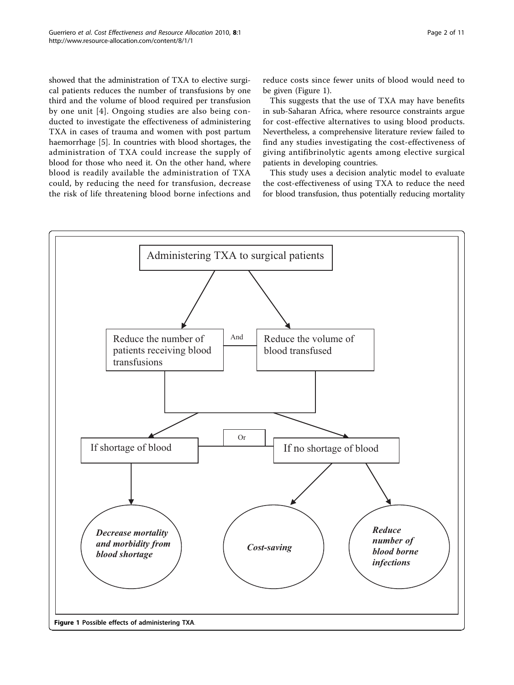showed that the administration of TXA to elective surgical patients reduces the number of transfusions by one third and the volume of blood required per transfusion by one unit [[4](#page-10-0)]. Ongoing studies are also being conducted to investigate the effectiveness of administering TXA in cases of trauma and women with post partum haemorrhage [\[5](#page-10-0)]. In countries with blood shortages, the administration of TXA could increase the supply of blood for those who need it. On the other hand, where blood is readily available the administration of TXA could, by reducing the need for transfusion, decrease the risk of life threatening blood borne infections and reduce costs since fewer units of blood would need to be given (Figure 1).

This suggests that the use of TXA may have benefits in sub-Saharan Africa, where resource constraints argue for cost-effective alternatives to using blood products. Nevertheless, a comprehensive literature review failed to find any studies investigating the cost-effectiveness of giving antifibrinolytic agents among elective surgical patients in developing countries.

This study uses a decision analytic model to evaluate the cost-effectiveness of using TXA to reduce the need for blood transfusion, thus potentially reducing mortality

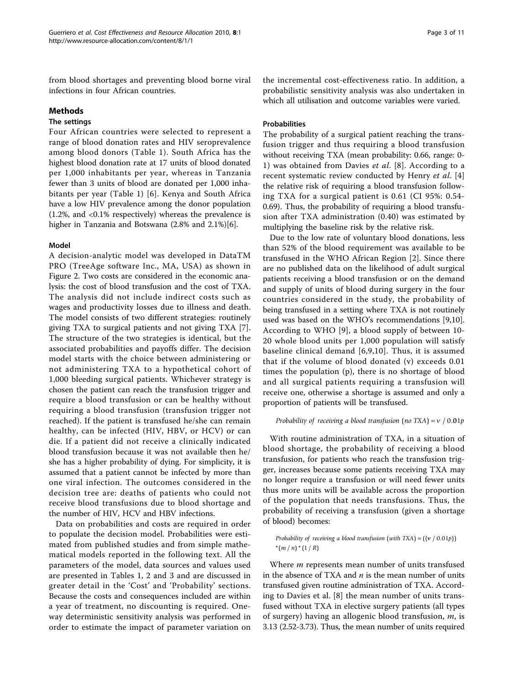from blood shortages and preventing blood borne viral infections in four African countries.

# Methods

# The settings

Four African countries were selected to represent a range of blood donation rates and HIV seroprevalence among blood donors (Table [1](#page-3-0)). South Africa has the highest blood donation rate at 17 units of blood donated per 1,000 inhabitants per year, whereas in Tanzania fewer than 3 units of blood are donated per 1,000 inhabitants per year (Table [1](#page-3-0)) [[6\]](#page-10-0). Kenya and South Africa have a low HIV prevalence among the donor population  $(1.2\%$ , and  $\langle 0.1\%$  respectively) whereas the prevalence is higher in Tanzania and Botswana (2.8% and 2.1%)[6].

# Model

A decision-analytic model was developed in DataTM PRO (TreeAge software Inc., MA, USA) as shown in Figure [2](#page-3-0). Two costs are considered in the economic analysis: the cost of blood transfusion and the cost of TXA. The analysis did not include indirect costs such as wages and productivity losses due to illness and death. The model consists of two different strategies: routinely giving TXA to surgical patients and not giving TXA [\[7](#page-10-0)]. The structure of the two strategies is identical, but the associated probabilities and payoffs differ. The decision model starts with the choice between administering or not administering TXA to a hypothetical cohort of 1,000 bleeding surgical patients. Whichever strategy is chosen the patient can reach the transfusion trigger and require a blood transfusion or can be healthy without requiring a blood transfusion (transfusion trigger not reached). If the patient is transfused he/she can remain healthy, can be infected (HIV, HBV, or HCV) or can die. If a patient did not receive a clinically indicated blood transfusion because it was not available then he/ she has a higher probability of dying. For simplicity, it is assumed that a patient cannot be infected by more than one viral infection. The outcomes considered in the decision tree are: deaths of patients who could not receive blood transfusions due to blood shortage and the number of HIV, HCV and HBV infections.

Data on probabilities and costs are required in order to populate the decision model. Probabilities were estimated from published studies and from simple mathematical models reported in the following text. All the parameters of the model, data sources and values used are presented in Tables [1,](#page-3-0) [2](#page-4-0) and [3](#page-4-0) and are discussed in greater detail in the 'Cost' and 'Probability' sections. Because the costs and consequences included are within a year of treatment, no discounting is required. Oneway deterministic sensitivity analysis was performed in order to estimate the impact of parameter variation on

the incremental cost-effectiveness ratio. In addition, a probabilistic sensitivity analysis was also undertaken in which all utilisation and outcome variables were varied.

# Probabilities

The probability of a surgical patient reaching the transfusion trigger and thus requiring a blood transfusion without receiving TXA (mean probability: 0.66, range: 0- 1) was obtained from Davies et al. [[8](#page-10-0)]. According to a recent systematic review conducted by Henry et al. [\[4](#page-10-0)] the relative risk of requiring a blood transfusion following TXA for a surgical patient is 0.61 (CI 95%: 0.54- 0.69). Thus, the probability of requiring a blood transfusion after TXA administration (0.40) was estimated by multiplying the baseline risk by the relative risk.

Due to the low rate of voluntary blood donations, less than 52% of the blood requirement was available to be transfused in the WHO African Region [[2\]](#page-10-0). Since there are no published data on the likelihood of adult surgical patients receiving a blood transfusion or on the demand and supply of units of blood during surgery in the four countries considered in the study, the probability of being transfused in a setting where TXA is not routinely used was based on the WHO's recommendations [\[9,10](#page-10-0)]. According to WHO [[9\]](#page-10-0), a blood supply of between 10- 20 whole blood units per 1,000 population will satisfy baseline clinical demand [[6,9,10](#page-10-0)]. Thus, it is assumed that if the volume of blood donated (v) exceeds 0.01 times the population (p), there is no shortage of blood and all surgical patients requiring a transfusion will receive one, otherwise a shortage is assumed and only a proportion of patients will be transfused.

#### *Probability of receiving a blood transfusion (no TXA)* =  $v / 0.01p$

With routine administration of TXA, in a situation of blood shortage, the probability of receiving a blood transfusion, for patients who reach the transfusion trigger, increases because some patients receiving TXA may no longer require a transfusion or will need fewer units thus more units will be available across the proportion of the population that needs transfusions. Thus, the probability of receiving a transfusion (given a shortage of blood) becomes:

*Probability of receiving a blood transfusion with TXA* ( ) (( / . )) \*( / )\*( / ) 0 01 1 *p mn R*

Where *m* represents mean number of units transfused in the absence of TXA and  $n$  is the mean number of units transfused given routine administration of TXA. According to Davies et al. [[8\]](#page-10-0) the mean number of units transfused without TXA in elective surgery patients (all types of surgery) having an allogenic blood transfusion, m, is 3.13 (2.52-3.73). Thus, the mean number of units required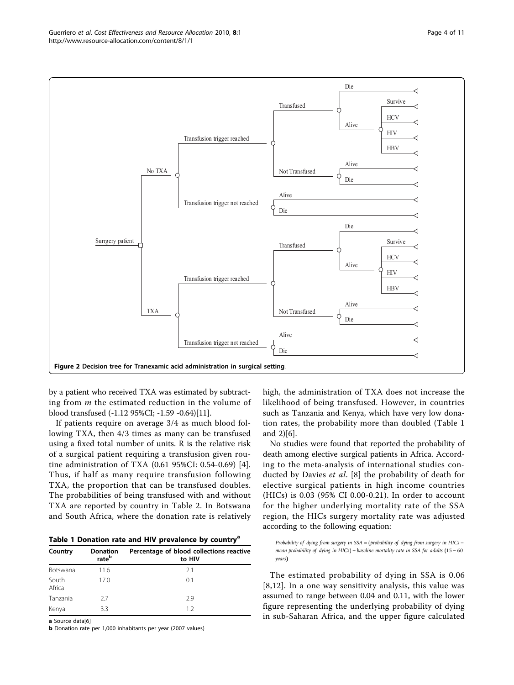<span id="page-3-0"></span>

by a patient who received TXA was estimated by subtracting from  $m$  the estimated reduction in the volume of blood transfused (-1.12 95%CI; -1.59 -0.64)[11].

If patients require on average 3/4 as much blood following TXA, then 4/3 times as many can be transfused using a fixed total number of units. R is the relative risk of a surgical patient requiring a transfusion given routine administration of TXA (0.61 95%CI: 0.54-0.69) [[4](#page-10-0)]. Thus, if half as many require transfusion following TXA, the proportion that can be transfused doubles. The probabilities of being transfused with and without TXA are reported by country in Table [2.](#page-4-0) In Botswana and South Africa, where the donation rate is relatively

Table 1 Donation rate and HIV prevalence by country<sup>a</sup>

| Country         | <b>Donation</b><br>rate <sup>b</sup> | Percentage of blood collections reactive<br>to HIV |  |  |  |
|-----------------|--------------------------------------|----------------------------------------------------|--|--|--|
| Botswana        | 11.6                                 | 2.1                                                |  |  |  |
| South<br>Africa | 17.0                                 | 0.1                                                |  |  |  |
| Tanzania        | 27                                   | 2.9                                                |  |  |  |
| Kenya           | 3.3                                  | 12                                                 |  |  |  |

a Source data[[6](#page-10-0)]

b Donation rate per 1,000 inhabitants per year (2007 values)

high, the administration of TXA does not increase the likelihood of being transfused. However, in countries such as Tanzania and Kenya, which have very low donation rates, the probability more than doubled (Table 1 and [2\)](#page-4-0)[\[6\]](#page-10-0).

No studies were found that reported the probability of death among elective surgical patients in Africa. According to the meta-analysis of international studies conducted by Davies et al. [[8](#page-10-0)] the probability of death for elective surgical patients in high income countries (HICs) is 0.03 (95% CI 0.00-0.21). In order to account for the higher underlying mortality rate of the SSA region, the HICs surgery mortality rate was adjusted according to the following equation:

*Probability of dying from surgery in SSA* = (*probability of dying from surgery in HICs mean probability of dying in HICs*) + baseline mortality rate in SSA for adults (15 – 60 *years* )

The estimated probability of dying in SSA is 0.06 [[8,12\]](#page-10-0). In a one way sensitivity analysis, this value was assumed to range between 0.04 and 0.11, with the lower figure representing the underlying probability of dying in sub-Saharan Africa, and the upper figure calculated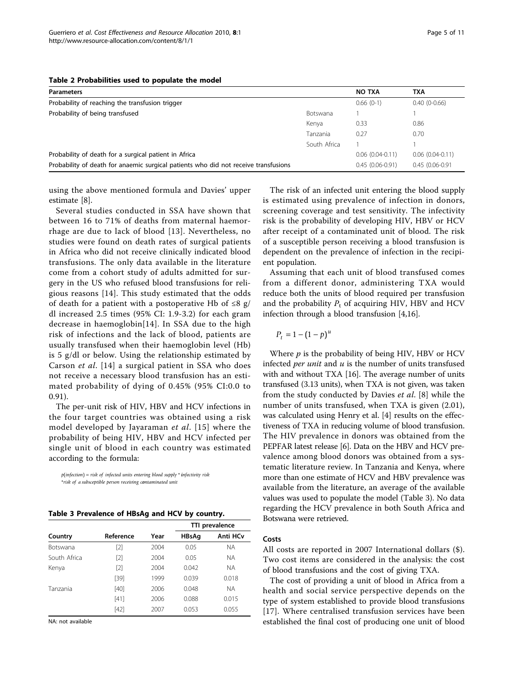<span id="page-4-0"></span>

|  |  | Table 2 Probabilities used to populate the model |  |  |  |  |  |
|--|--|--------------------------------------------------|--|--|--|--|--|
|--|--|--------------------------------------------------|--|--|--|--|--|

| <b>Parameters</b>                                                                   |              | <b>NO TXA</b>     | <b>TXA</b>        |
|-------------------------------------------------------------------------------------|--------------|-------------------|-------------------|
| Probability of reaching the transfusion trigger                                     |              | $0.66(0-1)$       | $0.40(0-0.66)$    |
| Probability of being transfused                                                     | Botswana     |                   |                   |
|                                                                                     | Kenya        | 0.33              | 0.86              |
|                                                                                     | Tanzania     | 0.27              | 0.70              |
|                                                                                     | South Africa |                   |                   |
| Probability of death for a surgical patient in Africa                               |              | $0.06(0.04-0.11)$ | $0.06(0.04-0.11)$ |
| Probability of death for anaemic surgical patients who did not receive transfusions |              | $0.45(0.06-0.91)$ | 0.45 (0.06-0.91   |

using the above mentioned formula and Davies' upper estimate [[8\]](#page-10-0).

Several studies conducted in SSA have shown that between 16 to 71% of deaths from maternal haemorrhage are due to lack of blood [\[13\]](#page-10-0). Nevertheless, no studies were found on death rates of surgical patients in Africa who did not receive clinically indicated blood transfusions. The only data available in the literature come from a cohort study of adults admitted for surgery in the US who refused blood transfusions for religious reasons [\[14](#page-10-0)]. This study estimated that the odds of death for a patient with a postoperative Hb of  $\leq 8$  g/ dl increased 2.5 times (95% CI: 1.9-3.2) for each gram decrease in haemoglobin[14]. In SSA due to the high risk of infections and the lack of blood, patients are usually transfused when their haemoglobin level (Hb) is 5 g/dl or below. Using the relationship estimated by Carson et al. [[14](#page-10-0)] a surgical patient in SSA who does not receive a necessary blood transfusion has an estimated probability of dying of 0.45% (95% CI:0.0 to 0.91).

The per-unit risk of HIV, HBV and HCV infections in the four target countries was obtained using a risk model developed by Jayaraman et al. [[15\]](#page-10-0) where the probability of being HIV, HBV and HCV infected per single unit of blood in each country was estimated according to the formula:

*p*(infection) = risk of infected units entering blood supply \* infectivity risk \**risk of a subsceptibl e person receiving contaminated unit*

| Table 3 Prevalence of HBsAg and HCV by country. |  |  |  |  |  |  |  |
|-------------------------------------------------|--|--|--|--|--|--|--|
|-------------------------------------------------|--|--|--|--|--|--|--|

|                 |           |      | <b>TTI</b> prevalence |           |  |
|-----------------|-----------|------|-----------------------|-----------|--|
| Country         | Reference | Year | <b>HBsAg</b>          | Anti HCv  |  |
| <b>Botswana</b> | $[2]$     | 2004 | 0.05                  | <b>NA</b> |  |
| South Africa    | $[2]$     | 2004 | 0.05                  | <b>NA</b> |  |
| Kenya           | $[2]$     | 2004 | 0.042                 | <b>NA</b> |  |
|                 | [39]      | 1999 | 0.039                 | 0.018     |  |
| Tanzania        | [40]      | 2006 | 0.048                 | <b>NA</b> |  |
|                 | $[41]$    | 2006 | 0.088                 | 0.015     |  |
|                 | [42]      | 2007 | 0.053                 | 0.055     |  |

NA: not available

The risk of an infected unit entering the blood supply is estimated using prevalence of infection in donors, screening coverage and test sensitivity. The infectivity risk is the probability of developing HIV, HBV or HCV after receipt of a contaminated unit of blood. The risk of a susceptible person receiving a blood transfusion is dependent on the prevalence of infection in the recipient population.

Assuming that each unit of blood transfused comes from a different donor, administering TXA would reduce both the units of blood required per transfusion and the probability  $P_t$  of acquiring HIV, HBV and HCV infection through a blood transfusion [[4,16\]](#page-10-0).

$$
P_t = 1 - (1 - p)^u
$$

Where  $p$  is the probability of being HIV, HBV or HCV infected *per unit* and  $u$  is the number of units transfused with and without TXA [\[16\]](#page-10-0). The average number of units transfused (3.13 units), when TXA is not given, was taken from the study conducted by Davies et al. [\[8\]](#page-10-0) while the number of units transfused, when TXA is given (2.01), was calculated using Henry et al. [[4\]](#page-10-0) results on the effectiveness of TXA in reducing volume of blood transfusion. The HIV prevalence in donors was obtained from the PEPFAR latest release [\[6](#page-10-0)]. Data on the HBV and HCV prevalence among blood donors was obtained from a systematic literature review. In Tanzania and Kenya, where more than one estimate of HCV and HBV prevalence was available from the literature, an average of the available values was used to populate the model (Table 3). No data regarding the HCV prevalence in both South Africa and Botswana were retrieved.

# Costs

All costs are reported in 2007 International dollars (\$). Two cost items are considered in the analysis: the cost of blood transfusions and the cost of giving TXA.

The cost of providing a unit of blood in Africa from a health and social service perspective depends on the type of system established to provide blood transfusions [17]. Where centralised transfusion services have been established the final cost of producing one unit of blood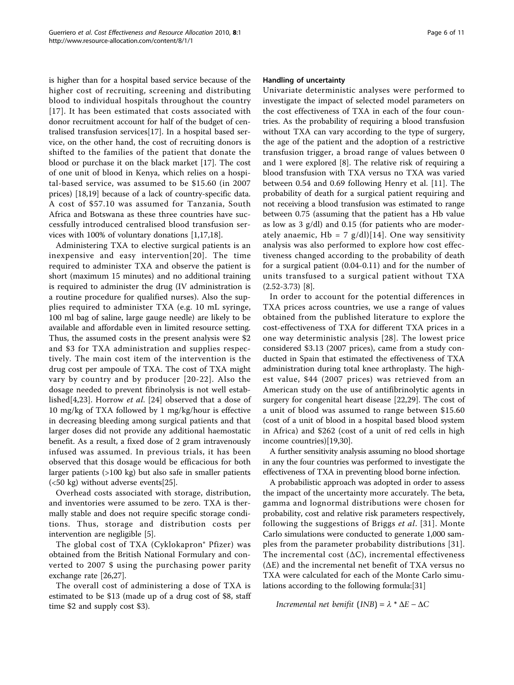is higher than for a hospital based service because of the higher cost of recruiting, screening and distributing blood to individual hospitals throughout the country [[17\]](#page-10-0). It has been estimated that costs associated with donor recruitment account for half of the budget of centralised transfusion services[17]. In a hospital based service, on the other hand, the cost of recruiting donors is shifted to the families of the patient that donate the blood or purchase it on the black market [[17\]](#page-10-0). The cost of one unit of blood in Kenya, which relies on a hospital-based service, was assumed to be \$15.60 (in 2007 prices) [\[18,19\]](#page-10-0) because of a lack of country-specific data. A cost of \$57.10 was assumed for Tanzania, South Africa and Botswana as these three countries have successfully introduced centralised blood transfusion services with 100% of voluntary donations [\[1,17,18](#page-10-0)].

Administering TXA to elective surgical patients is an inexpensive and easy intervention[[20\]](#page-10-0). The time required to administer TXA and observe the patient is short (maximum 15 minutes) and no additional training is required to administer the drug (IV administration is a routine procedure for qualified nurses). Also the supplies required to administer TXA (e.g. 10 mL syringe, 100 ml bag of saline, large gauge needle) are likely to be available and affordable even in limited resource setting. Thus, the assumed costs in the present analysis were \$2 and \$3 for TXA administration and supplies respectively. The main cost item of the intervention is the drug cost per ampoule of TXA. The cost of TXA might vary by country and by producer [[20](#page-10-0)-[22\]](#page-10-0). Also the dosage needed to prevent fibrinolysis is not well established[\[4,23\]](#page-10-0). Horrow et al. [[24](#page-10-0)] observed that a dose of 10 mg/kg of TXA followed by 1 mg/kg/hour is effective in decreasing bleeding among surgical patients and that larger doses did not provide any additional haemostatic benefit. As a result, a fixed dose of 2 gram intravenously infused was assumed. In previous trials, it has been observed that this dosage would be efficacious for both larger patients (>100 kg) but also safe in smaller patients (<50 kg) without adverse events[25].

Overhead costs associated with storage, distribution, and inventories were assumed to be zero. TXA is thermally stable and does not require specific storage conditions. Thus, storage and distribution costs per intervention are negligible [\[5](#page-10-0)].

The global cost of TXA (Cyklokapron® Pfizer) was obtained from the British National Formulary and converted to 2007 \$ using the purchasing power parity exchange rate [[26,27](#page-10-0)].

The overall cost of administering a dose of TXA is estimated to be \$13 (made up of a drug cost of \$8, staff time \$2 and supply cost \$3).

### Handling of uncertainty

Univariate deterministic analyses were performed to investigate the impact of selected model parameters on the cost effectiveness of TXA in each of the four countries. As the probability of requiring a blood transfusion without TXA can vary according to the type of surgery, the age of the patient and the adoption of a restrictive transfusion trigger, a broad range of values between 0 and 1 were explored [[8](#page-10-0)]. The relative risk of requiring a blood transfusion with TXA versus no TXA was varied between 0.54 and 0.69 following Henry et al. [[11](#page-10-0)]. The probability of death for a surgical patient requiring and not receiving a blood transfusion was estimated to range between 0.75 (assuming that the patient has a Hb value as low as 3 g/dl) and 0.15 (for patients who are moderately anaemic, Hb = 7 g/dl)[14]. One way sensitivity analysis was also performed to explore how cost effectiveness changed according to the probability of death for a surgical patient (0.04-0.11) and for the number of units transfused to a surgical patient without TXA (2.52-3.73) [[8](#page-10-0)].

In order to account for the potential differences in TXA prices across countries, we use a range of values obtained from the published literature to explore the cost-effectiveness of TXA for different TXA prices in a one way deterministic analysis [\[28\]](#page-10-0). The lowest price considered \$3.13 (2007 prices), came from a study conducted in Spain that estimated the effectiveness of TXA administration during total knee arthroplasty. The highest value, \$44 (2007 prices) was retrieved from an American study on the use of antifibrinolytic agents in surgery for congenital heart disease [[22,29\]](#page-10-0). The cost of a unit of blood was assumed to range between \$15.60 (cost of a unit of blood in a hospital based blood system in Africa) and \$262 (cost of a unit of red cells in high income countries)[19,[30](#page-10-0)].

A further sensitivity analysis assuming no blood shortage in any the four countries was performed to investigate the effectiveness of TXA in preventing blood borne infection.

A probabilistic approach was adopted in order to assess the impact of the uncertainty more accurately. The beta, gamma and lognormal distributions were chosen for probability, cost and relative risk parameters respectively, following the suggestions of Briggs et al. [\[31\]](#page-10-0). Monte Carlo simulations were conducted to generate 1,000 samples from the parameter probability distributions [[31](#page-10-0)]. The incremental cost  $(AC)$ , incremental effectiveness (ΔE) and the incremental net benefit of TXA versus no TXA were calculated for each of the Monte Carlo simulations according to the following formula:[31]

*Incremental net benifit*  $(INB) = \lambda * \Delta E - \Delta C$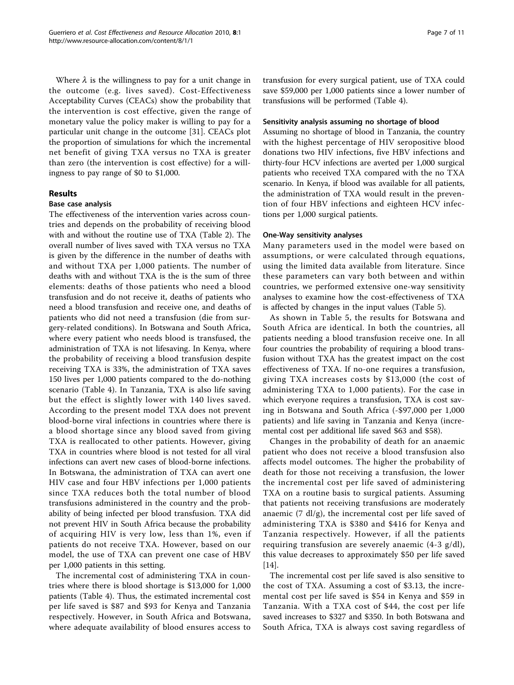Where  $\lambda$  is the willingness to pay for a unit change in the outcome (e.g. lives saved). Cost-Effectiveness Acceptability Curves (CEACs) show the probability that the intervention is cost effective, given the range of monetary value the policy maker is willing to pay for a particular unit change in the outcome [[31](#page-10-0)]. CEACs plot the proportion of simulations for which the incremental net benefit of giving TXA versus no TXA is greater than zero (the intervention is cost effective) for a willingness to pay range of \$0 to \$1,000.

# Results

#### Base case analysis

The effectiveness of the intervention varies across countries and depends on the probability of receiving blood with and without the routine use of TXA (Table [2\)](#page-4-0). The overall number of lives saved with TXA versus no TXA is given by the difference in the number of deaths with and without TXA per 1,000 patients. The number of deaths with and without TXA is the is the sum of three elements: deaths of those patients who need a blood transfusion and do not receive it, deaths of patients who need a blood transfusion and receive one, and deaths of patients who did not need a transfusion (die from surgery-related conditions). In Botswana and South Africa, where every patient who needs blood is transfused, the administration of TXA is not lifesaving. In Kenya, where the probability of receiving a blood transfusion despite receiving TXA is 33%, the administration of TXA saves 150 lives per 1,000 patients compared to the do-nothing scenario (Table [4\)](#page-7-0). In Tanzania, TXA is also life saving but the effect is slightly lower with 140 lives saved. According to the present model TXA does not prevent blood-borne viral infections in countries where there is a blood shortage since any blood saved from giving TXA is reallocated to other patients. However, giving TXA in countries where blood is not tested for all viral infections can avert new cases of blood-borne infections. In Botswana, the administration of TXA can avert one HIV case and four HBV infections per 1,000 patients since TXA reduces both the total number of blood transfusions administered in the country and the probability of being infected per blood transfusion. TXA did not prevent HIV in South Africa because the probability of acquiring HIV is very low, less than 1%, even if patients do not receive TXA. However, based on our model, the use of TXA can prevent one case of HBV per 1,000 patients in this setting.

The incremental cost of administering TXA in countries where there is blood shortage is \$13,000 for 1,000 patients (Table [4](#page-7-0)). Thus, the estimated incremental cost per life saved is \$87 and \$93 for Kenya and Tanzania respectively. However, in South Africa and Botswana, where adequate availability of blood ensures access to transfusion for every surgical patient, use of TXA could save \$59,000 per 1,000 patients since a lower number of transfusions will be performed (Table [4](#page-7-0)).

#### Sensitivity analysis assuming no shortage of blood

Assuming no shortage of blood in Tanzania, the country with the highest percentage of HIV seropositive blood donations two HIV infections, five HBV infections and thirty-four HCV infections are averted per 1,000 surgical patients who received TXA compared with the no TXA scenario. In Kenya, if blood was available for all patients, the administration of TXA would result in the prevention of four HBV infections and eighteen HCV infections per 1,000 surgical patients.

#### One-Way sensitivity analyses

Many parameters used in the model were based on assumptions, or were calculated through equations, using the limited data available from literature. Since these parameters can vary both between and within countries, we performed extensive one-way sensitivity analyses to examine how the cost-effectiveness of TXA is affected by changes in the input values (Table [5\)](#page-7-0).

As shown in Table [5](#page-7-0), the results for Botswana and South Africa are identical. In both the countries, all patients needing a blood transfusion receive one. In all four countries the probability of requiring a blood transfusion without TXA has the greatest impact on the cost effectiveness of TXA. If no-one requires a transfusion, giving TXA increases costs by \$13,000 (the cost of administering TXA to 1,000 patients). For the case in which everyone requires a transfusion, TXA is cost saving in Botswana and South Africa (-\$97,000 per 1,000 patients) and life saving in Tanzania and Kenya (incremental cost per additional life saved \$63 and \$58).

Changes in the probability of death for an anaemic patient who does not receive a blood transfusion also affects model outcomes. The higher the probability of death for those not receiving a transfusion, the lower the incremental cost per life saved of administering TXA on a routine basis to surgical patients. Assuming that patients not receiving transfusions are moderately anaemic  $(7 \text{ d}l/g)$ , the incremental cost per life saved of administering TXA is \$380 and \$416 for Kenya and Tanzania respectively. However, if all the patients requiring transfusion are severely anaemic (4-3 g/dl), this value decreases to approximately \$50 per life saved [[14\]](#page-10-0).

The incremental cost per life saved is also sensitive to the cost of TXA. Assuming a cost of \$3.13, the incremental cost per life saved is \$54 in Kenya and \$59 in Tanzania. With a TXA cost of \$44, the cost per life saved increases to \$327 and \$350. In both Botswana and South Africa, TXA is always cost saving regardless of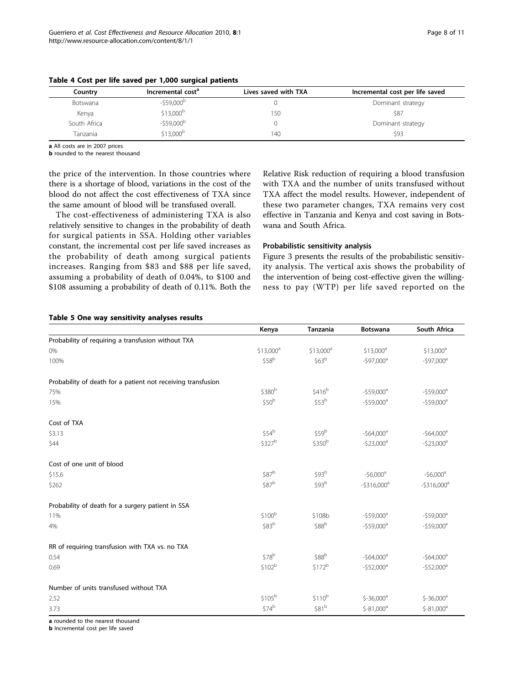| Countrv      | Incremental cost <sup>a</sup> | Lives saved with TXA | Incremental cost per life saved |
|--------------|-------------------------------|----------------------|---------------------------------|
| Botswana     | $-$ \$59,000 $^{\circ}$       |                      | Dominant strategy               |
| Kenya        | \$13,000 <sup>b</sup>         | 150                  | \$87                            |
| South Africa | $-559.000b$                   |                      | Dominant strategy               |
| Tanzania     | \$13,000 <sup>b</sup>         | 140                  | \$93                            |

<span id="page-7-0"></span>

|  | Table 4 Cost per life saved per 1,000 surgical patients |  |  |  |
|--|---------------------------------------------------------|--|--|--|
|--|---------------------------------------------------------|--|--|--|

a All costs are in 2007 prices

**b** rounded to the nearest thousand

the price of the intervention. In those countries where there is a shortage of blood, variations in the cost of the blood do not affect the cost effectiveness of TXA since the same amount of blood will be transfused overall.

The cost-effectiveness of administering TXA is also relatively sensitive to changes in the probability of death for surgical patients in SSA. Holding other variables constant, the incremental cost per life saved increases as the probability of death among surgical patients increases. Ranging from \$83 and \$88 per life saved, assuming a probability of death of 0.04%, to \$100 and \$108 assuming a probability of death of 0.11%. Both the

Table 5 One way sensitivity analyses results

Relative Risk reduction of requiring a blood transfusion with TXA and the number of units transfused without TXA affect the model results. However, independent of these two parameter changes, TXA remains very cost effective in Tanzania and Kenya and cost saving in Botswana and South Africa.

#### Probabilistic sensitivity analysis

Figure [3](#page-8-0) presents the results of the probabilistic sensitivity analysis. The vertical axis shows the probability of the intervention of being cost-effective given the willingness to pay (WTP) per life saved reported on the

# Kenya Tanzania Botswana South Africa Probability of requiring a transfusion without TXA  $\text{6}^{\circ}$  \$13,000a \$13,000a \$13,000a \$13,000a \$13,000a \$13,000a \$13,000a \$13,000a \$13,000a \$13,000a \$13,000a \$13,000a \$13,000a \$13,000a \$13,000a \$13,000a \$13,000a \$13,000a \$13,000a \$13,000a \$13,000a \$13,000a \$1  $100\%$   $-597,000^{\text{a}}$   $-597,000^{\text{a}}$   $-597,000^{\text{a}}$ Probability of death for a patient not receiving transfusion  $75\%$   $5380^{\rm b}$   $5416^{\rm b}$   $-559,000^{\rm a}$   $-559,000^{\rm a}$   $-559,000^{\rm a}$  $15\%$   $550^{\circ}$   $553^{\circ}$   $-559,000^{\circ}$   $-559,000^{\circ}$   $-559,000^{\circ}$ Cost of TXA  $$54<sup>b</sup>$   $$54<sup>b</sup>$   $$564,000<sup>a</sup>$   $$64,000<sup>a</sup>$   $$64,000<sup>a</sup>$  $$327<sup>b</sup>$   $$350<sup>b</sup>$   $$-$23,000<sup>a</sup>$   $$-$23,000<sup>a</sup>$ Cost of one unit of blood \$15.6  $$87^{\rm b}$$   $$93^{\rm b}$$   $$56,000^{\rm a}$$   $$56,000^{\rm a}$$   $$56,000^{\rm a}$$  $$262$   $$37<sup>b</sup>$   $$93<sup>b</sup>$   $$316,000<sup>a</sup>$   $$316,000<sup>a</sup>$ Probability of death for a surgery patient in SSA  $11\%$   $-559,000^a$   $-559,000^a$   $-559,000^a$   $-559,000^a$  $4\%$   $4\%$   $-559,000^{\text{a}}$   $-559,000^{\text{a}}$   $-559,000^{\text{a}}$ RR of requiring transfusion with TXA vs. no TXA  $578^{\rm b}$   $588^{\rm b}$   $-564,000^{\rm a}$   $-564,000^{\rm a}$   $-564,000^{\rm a}$  $0.69$  -\$52,000<sup>a</sup> -\$52,000<sup>a</sup> -\$52,000<sup>a</sup> -\$52,000<sup>a</sup> -\$52,000<sup>a</sup> Number of units transfused without TXA  $2.52$   $5105$   $536,000^a$   $5-36,000^a$   $5-36,000^a$   $5-36,000^a$ 3.73  $3.73$   $5.81,000^a$   $5.81,000^a$   $5.81,000^a$   $5.81,000^a$

a rounded to the nearest thousand

**b** Incremental cost per life saved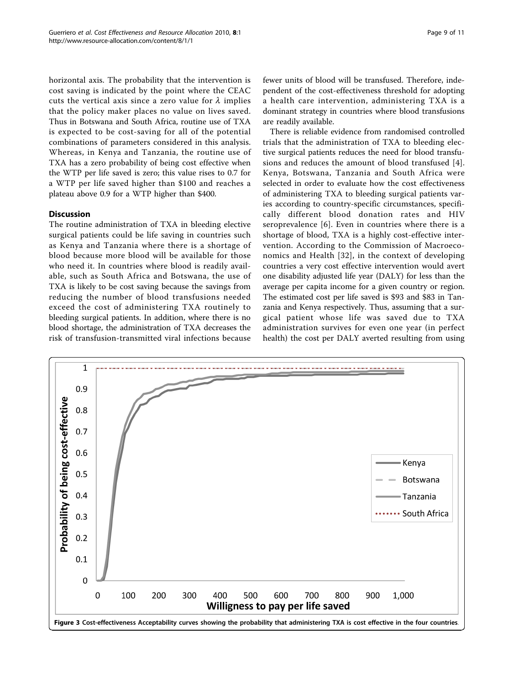<span id="page-8-0"></span>horizontal axis. The probability that the intervention is cost saving is indicated by the point where the CEAC cuts the vertical axis since a zero value for  $\lambda$  implies that the policy maker places no value on lives saved. Thus in Botswana and South Africa, routine use of TXA is expected to be cost-saving for all of the potential combinations of parameters considered in this analysis. Whereas, in Kenya and Tanzania, the routine use of TXA has a zero probability of being cost effective when the WTP per life saved is zero; this value rises to 0.7 for a WTP per life saved higher than \$100 and reaches a plateau above 0.9 for a WTP higher than \$400.

# Discussion

The routine administration of TXA in bleeding elective surgical patients could be life saving in countries such as Kenya and Tanzania where there is a shortage of blood because more blood will be available for those who need it. In countries where blood is readily available, such as South Africa and Botswana, the use of TXA is likely to be cost saving because the savings from reducing the number of blood transfusions needed exceed the cost of administering TXA routinely to bleeding surgical patients. In addition, where there is no blood shortage, the administration of TXA decreases the risk of transfusion-transmitted viral infections because fewer units of blood will be transfused. Therefore, independent of the cost-effectiveness threshold for adopting a health care intervention, administering TXA is a dominant strategy in countries where blood transfusions are readily available.

There is reliable evidence from randomised controlled trials that the administration of TXA to bleeding elective surgical patients reduces the need for blood transfusions and reduces the amount of blood transfused [[4](#page-10-0)]. Kenya, Botswana, Tanzania and South Africa were selected in order to evaluate how the cost effectiveness of administering TXA to bleeding surgical patients varies according to country-specific circumstances, specifically different blood donation rates and HIV seroprevalence [[6](#page-10-0)]. Even in countries where there is a shortage of blood, TXA is a highly cost-effective intervention. According to the Commission of Macroeconomics and Health [[32](#page-10-0)], in the context of developing countries a very cost effective intervention would avert one disability adjusted life year (DALY) for less than the average per capita income for a given country or region. The estimated cost per life saved is \$93 and \$83 in Tanzania and Kenya respectively. Thus, assuming that a surgical patient whose life was saved due to TXA administration survives for even one year (in perfect health) the cost per DALY averted resulting from using

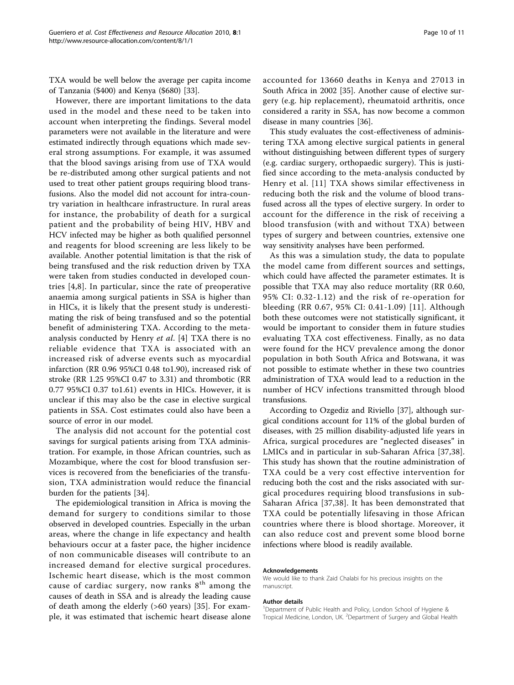TXA would be well below the average per capita income of Tanzania (\$400) and Kenya (\$680) [\[33\]](#page-10-0).

However, there are important limitations to the data used in the model and these need to be taken into account when interpreting the findings. Several model parameters were not available in the literature and were estimated indirectly through equations which made several strong assumptions. For example, it was assumed that the blood savings arising from use of TXA would be re-distributed among other surgical patients and not used to treat other patient groups requiring blood transfusions. Also the model did not account for intra-country variation in healthcare infrastructure. In rural areas for instance, the probability of death for a surgical patient and the probability of being HIV, HBV and HCV infected may be higher as both qualified personnel and reagents for blood screening are less likely to be available. Another potential limitation is that the risk of being transfused and the risk reduction driven by TXA were taken from studies conducted in developed countries [[4](#page-10-0),[8\]](#page-10-0). In particular, since the rate of preoperative anaemia among surgical patients in SSA is higher than in HICs, it is likely that the present study is underestimating the risk of being transfused and so the potential benefit of administering TXA. According to the metaanalysis conducted by Henry et al. [[4\]](#page-10-0) TXA there is no reliable evidence that TXA is associated with an increased risk of adverse events such as myocardial infarction (RR 0.96 95%CI 0.48 to1.90), increased risk of stroke (RR 1.25 95%CI 0.47 to 3.31) and thrombotic (RR 0.77 95%CI 0.37 to1.61) events in HICs. However, it is unclear if this may also be the case in elective surgical patients in SSA. Cost estimates could also have been a source of error in our model.

The analysis did not account for the potential cost savings for surgical patients arising from TXA administration. For example, in those African countries, such as Mozambique, where the cost for blood transfusion services is recovered from the beneficiaries of the transfusion, TXA administration would reduce the financial burden for the patients [\[34\]](#page-10-0).

The epidemiological transition in Africa is moving the demand for surgery to conditions similar to those observed in developed countries. Especially in the urban areas, where the change in life expectancy and health behaviours occur at a faster pace, the higher incidence of non communicable diseases will contribute to an increased demand for elective surgical procedures. Ischemic heart disease, which is the most common cause of cardiac surgery, now ranks 8<sup>th</sup> among the causes of death in SSA and is already the leading cause of death among the elderly (>60 years) [[35](#page-10-0)]. For example, it was estimated that ischemic heart disease alone accounted for 13660 deaths in Kenya and 27013 in South Africa in 2002 [[35\]](#page-10-0). Another cause of elective surgery (e.g. hip replacement), rheumatoid arthritis, once considered a rarity in SSA, has now become a common disease in many countries [\[36\]](#page-10-0).

This study evaluates the cost-effectiveness of administering TXA among elective surgical patients in general without distinguishing between different types of surgery (e.g. cardiac surgery, orthopaedic surgery). This is justified since according to the meta-analysis conducted by Henry et al. [[11](#page-10-0)] TXA shows similar effectiveness in reducing both the risk and the volume of blood transfused across all the types of elective surgery. In order to account for the difference in the risk of receiving a blood transfusion (with and without TXA) between types of surgery and between countries, extensive one way sensitivity analyses have been performed.

As this was a simulation study, the data to populate the model came from different sources and settings, which could have affected the parameter estimates. It is possible that TXA may also reduce mortality (RR 0.60, 95% CI: 0.32-1.12) and the risk of re-operation for bleeding (RR 0.67, 95% CI: 0.41-1.09) [[11](#page-10-0)]. Although both these outcomes were not statistically significant, it would be important to consider them in future studies evaluating TXA cost effectiveness. Finally, as no data were found for the HCV prevalence among the donor population in both South Africa and Botswana, it was not possible to estimate whether in these two countries administration of TXA would lead to a reduction in the number of HCV infections transmitted through blood transfusions.

According to Ozgediz and Riviello [[37](#page-10-0)], although surgical conditions account for 11% of the global burden of diseases, with 25 million disability-adjusted life years in Africa, surgical procedures are "neglected diseases" in LMICs and in particular in sub-Saharan Africa [[37,38](#page-10-0)]. This study has shown that the routine administration of TXA could be a very cost effective intervention for reducing both the cost and the risks associated with surgical procedures requiring blood transfusions in sub-Saharan Africa [[37,38](#page-10-0)]. It has been demonstrated that TXA could be potentially lifesaving in those African countries where there is blood shortage. Moreover, it can also reduce cost and prevent some blood borne infections where blood is readily available.

#### Acknowledgements

We would like to thank Zaid Chalabi for his precious insights on the manuscript.

#### Author details

<sup>1</sup>Department of Public Health and Policy, London School of Hygiene & Tropical Medicine, London, UK. <sup>2</sup>Department of Surgery and Global Health